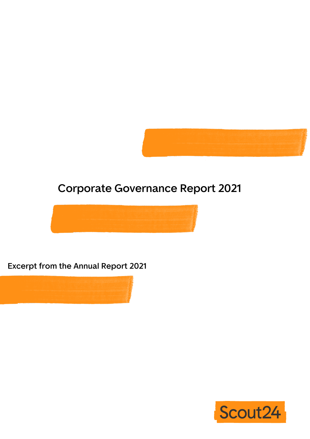

# **Corporate Governance Report 2021**



## **Excerpt from the Annual Report 2021**



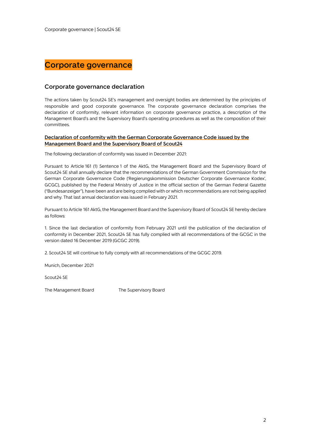

## **Corporate governance declaration**

The actions taken by Scout24 SE's management and oversight bodies are determined by the principles of responsible and good corporate governance. The corporate governance declaration comprises the declaration of conformity, relevant information on corporate governance practice, a description of the Management Board's and the Supervisory Board's operating procedures as well as the composition of their committees.

## **Declaration of conformity with the German Corporate Governance Code issued by the Management Board and the Supervisory Board of Scout24**

The following declaration of conformity was issued in December 2021:

Pursuant to Article 161 (1) Sentence 1 of the AktG, the Management Board and the Supervisory Board of Scout24 SE shall annually declare that the recommendations of the German Government Commission for the German Corporate Governance Code ('Regierungskommission Deutscher Corporate Governance Kodex', GCGC), published by the Federal Ministry of Justice in the official section of the German Federal Gazette ("Bundesanzeiger"), have been and are being complied with or which recommendations are not being applied and why. That last annual declaration was issued in February 2021.

Pursuant to Article 161 AktG, the Management Board and the Supervisory Board of Scout24 SE hereby declare as follows:

1. Since the last declaration of conformity from February 2021 until the publication of the declaration of conformity in December 2021, Scout24 SE has fully complied with all recommendations of the GCGC in the version dated 16 December 2019 (GCGC 2019).

2. Scout24 SE will continue to fully comply with all recommendations of the GCGC 2019.

Munich, December 2021

Scout24 SE

The Management Board The Supervisory Board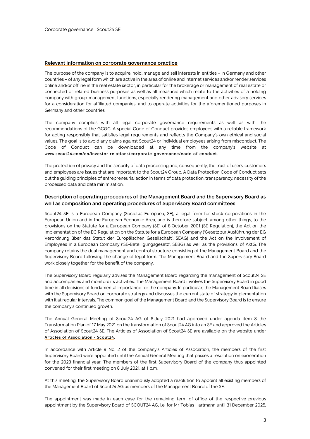## **Relevant information on corporate governance practice**

The purpose of the company is to acquire, hold, manage and sell interests in entities – in Germany and other countries – of any legal form which are active in the area of online and internet services and/or render services online and/or offline in the real estate sector, in particular for the brokerage or management of real estate or connected or related business purposes as well as all measures which relate to the activities of a holding company with group-management functions, especially rendering management and other advisory services for a consideration for affiliated companies, and to operate activities for the aforementioned purposes in Germany and other countries.

The company complies with all legal corporate governance requirements as well as with the recommendations of the GCGC. A special Code of Conduct provides employees with a reliable framework for acting responsibly that satisfies legal requirements and reflects the Company's own ethical and social values. The goal is to avoid any claims against Scout24 or individual employees arising from misconduct. The Code of Conduct can be downloaded at any time from the company's website at **www.scout24.com/en/investor-relations/corporate-governance/code-of-conduct**.

The protection of privacy and the security of data processing and, consequently, the trust of users, customers and employees are issues that are important to the Scout24 Group. A Data Protection Code of Conduct sets out the guiding principles of entrepreneurial action in terms of data protection, transparency, necessity of the processed data and data minimisation.

## **Description of operating procedures of the Management Board and the Supervisory Board as well as composition and operating procedures of Supervisory Board committees**

Scout24 SE is a European Company (Societas Europaea, SE), a legal form for stock corporations in the European Union and in the European Economic Area, and is therefore subject, among other things, to the provisions on the Statute for a European Company (SE) of 8 October 2001 (SE Regulation), the Act on the Implementation of the EC Regulation on the Statute for a European Company ('Gesetz zur Ausführung der EG Verordnung über das Statut der Europäischen Gesellschaft', SEAG) and the Act on the Involvement of Employees in a European Company ('SE-Beteiligungsgesetz', SEBG) as well as the provisions of AktG. The company retains the dual management and control structure consisting of the Management Board and the Supervisory Board following the change of legal form. The Management Board and the Supervisory Board work closely together for the benefit of the company.

The Supervisory Board regularly advises the Management Board regarding the management of Scout24 SE and accompanies and monitors its activities. The Management Board involves the Supervisory Board in good time in all decisions of fundamental importance for the company. In particular, the Management Board liaises with the Supervisory Board on corporate strategy and discusses the current state of strategy implementation with it at regular intervals. The common goal of the Management Board and the Supervisory Board is to ensure the company's continued growth.

The Annual General Meeting of Scout24 AG of 8 July 2021 had approved under agenda item 8 the Transformation Plan of 17 May 2021 on the transformation of Scout24 AG into an SE and approved the Articles of Association of Scout24 SE. The Articles of Association of Scout24 SE are available on the website under **Articles of Association - Scout24**.

In accordance with Article 9 No. 2 of the company's Articles of Association, the members of the first Supervisory Board were appointed until the Annual General Meeting that passes a resolution on exoneration for the 2023 financial year. The members of the first Supervisory Board of the company thus appointed convened for their first meeting on 8 July 2021, at 1 p.m.

At this meeting, the Supervisory Board unanimously adopted a resolution to appoint all existing members of the Management Board of Scout24 AG as members of the Management Board of the SE.

The appointment was made in each case for the remaining term of office of the respective previous appointment by the Supervisory Board of SCOUT24 AG, i.e. for Mr Tobias Hartmann until 31 December 2025,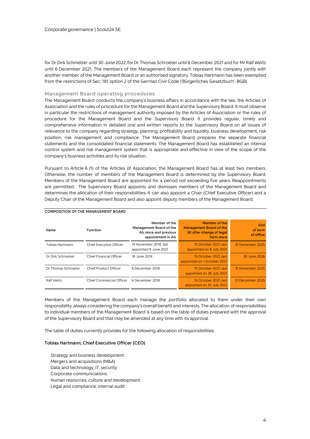for Dr Dirk Schmelzer until 30 June 2022, for Dr Thomas Schroeter until 6 December 2021 and for Mr Ralf Weitz until 6 December 2021. The members of the Management Board each represent the company jointly with another member of the Management Board or an authorised signatory. Tobias Hartmann has been exempted from the restrictions of Sec. 181 option 2 of the German Civil Code ('Bürgerliches Gesetzbuch', BGB).

## **Management Board operating procedures**

The Management Board conducts the company's business affairs in accordance with the law, the Articles of Association and the rules of procedure for the Management Board and the Supervisory Board. It must observe in particular the restrictions of management authority imposed by the Articles of Association or the rules of procedure for the Management Board and the Supervisory Board. It provides regular, timely and comprehensive information in detailed oral and written reports to the Supervisory Board on all issues of relevance to the company regarding strategy, planning, profitability and liquidity, business development, risk position, risk management and compliance. The Management Board prepares the separate financial statements and the consolidated financial statements. The Management Board has established an internal control system and risk management system that is appropriate and effective in view of the scope of the company's business activities and its risk situation.

Pursuant to Article 6 (1) of the Articles of Association, the Management Board has at least two members. Otherwise, the number of members of the Management Board is determined by the Supervisory Board. Members of the Management Board are appointed for a period not exceeding five years. Reappointments are permitted. The Supervisory Board appoints and dismisses members of the Management Board and determines the allocation of their responsibilities. It can also appoint a Chair (Chief Executive Officer) and a Deputy Chair of the Management Board and also appoint deputy members of the Management Board.

| Name                | Function                 | Member of the<br>Management Board of the<br>AG since and previous<br>appointment in AG | Member of the<br><b>Management Board of the</b><br>SE after change of legal<br>form since | End<br>of term<br>of office |
|---------------------|--------------------------|----------------------------------------------------------------------------------------|-------------------------------------------------------------------------------------------|-----------------------------|
| Tobias Hartmann     | Chief Executive Officer  | 19 November 2018, last<br>appointed 9 June 2021                                        | 15 October 2021, last<br>appointed on 8 July 2021                                         | 31 December 2025            |
| Dr Dirk Schmelzer   | Chief Financial Officer  | 18 June 2019                                                                           | 15 October 2021, last<br>appointed on 1 October 2021                                      | 30 June 2026                |
| Dr Thomas Schroeter | Chief Product Officer    | 6 December 2018                                                                        | 15 October 2021, last<br>appointed on 28 July 2021                                        | 31 December 2025            |
| Ralf Weitz          | Chief Commercial Officer | 6 December 2018                                                                        | 15 October 2021, last<br>appointed on 20 July 2021                                        | 31 December 2025            |

## **COMPOSITION OF THE MANAGEMENT BOARD**

Members of the Management Board each manage the portfolio allocated to them under their own responsibility, always considering the company's overall benefit and interests. The allocation of responsibilities to individual members of the Management Board is based on the table of duties prepared with the approval of the Supervisory Board and that may be amended at any time with its approval.

The table of duties currently provides for the following allocation of responsibilities:

#### **Tobias Hartmann, Chief Executive Officer (CEO)**

Strategy and business development Mergers and acquisitions (M&A) Data and technology, IT, security Corporate communications Human resources, culture and development Legal and compliance; internal audit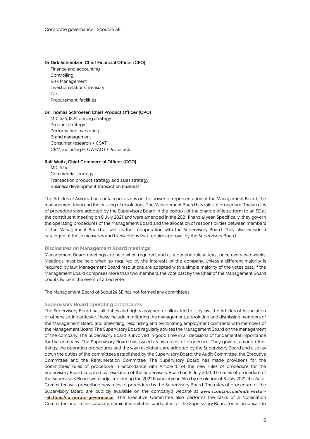#### **Dr Dirk Schmelzer, Chief Financial Officer (CFO)**

Finance and accounting **Controlling** Risk Management Investor relations; treasury Tax Procurement; facilities

#### **Dr Thomas Schroeter, Chief Product Officer (CPO)**

MD IS24, IS24 pricing strategy Product strategy Performance marketing Brand management Consumer research + CSAT CRM, including FLOWFACT / Propstack

## **Ralf Weitz, Chief Commercial Officer (CCO)**

MD IS24 Commercial strategy Transaction product strategy and sales strategy Business development transaction business

The Articles of Association contain provisions on the power of representation of the Management Board, the management team and the passing of resolutions. The Management Board has rules of procedure. These rules of procedure were adopted by the Supervisory Board in the context of the change of legal form to an SE at the constituent meeting on 8 July 2021 and were amended in the 2021 financial year. Specifically, they govern the operating procedures of the Management Board and the allocation of responsibilities between members of the Management Board as well as their cooperation with the Supervisory Board. They also include a catalogue of those measures and transactions that require approval by the Supervisory Board.

## **Disclosures on Management Board meetings**

Management Board meetings are held when required, and as a general rule at least once every two weeks. Meetings must be held when so required by the interests of the company. Unless a different majority is required by law, Management Board resolutions are adopted with a simple majority of the votes cast. If the Management Board comprises more than two members, the vote cast by the Chair of the Management Board counts twice in the event of a tied vote.

The Management Board of Scout24 SE has not formed any committees.

## **Supervisory Board operating procedures**

The Supervisory Board has all duties and rights assigned or allocated to it by law, the Articles of Association or otherwise. In particular, these include monitoring the management, appointing and dismissing members of the Management Board and amending, rescinding and terminating employment contracts with members of the Management Board. The Supervisory Board regularly advises the Management Board on the management of the company. The Supervisory Board is involved in good time in all decisions of fundamental importance for the company. The Supervisory Board has issued its own rules of procedure. They govern, among other things, the operating procedures and the way resolutions are adopted by the Supervisory Board and also lay down the duties of the committees established by the Supervisory Board: the Audit Committee, the Executive Committee and the Remuneration Committee. The Supervisory Board has made provisions for the committees' rules of procedure in accordance with Article 10 of the new rules of procedure for the Supervisory Board adopted by resolution of the Supervisory Board on 8 July 2021. The rules of procedure of the Supervisory Board were adjusted during the 2021 financial year. Also by resolution of 8 July 2021, the Audit Committee was prescribed new rules of procedure by the Supervisory Board. The rules of procedure of the Supervisory Board are publicly available on the company's website at **www.scout24.com/en/investorrelations/corporate-governance**. The Executive Committee also performs the tasks of a Nomination Committee and, in this capacity, nominates suitable candidates for the Supervisory Board for its proposals to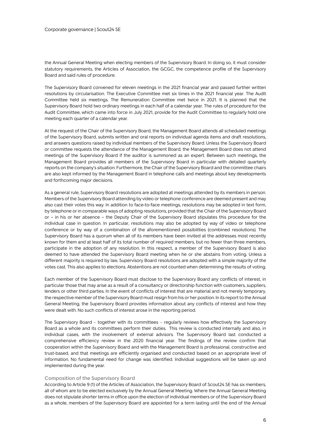the Annual General Meeting when electing members of the Supervisory Board. In doing so, it must consider statutory requirements, the Articles of Association, the GCGC, the competence profile of the Supervisory Board and said rules of procedure.

The Supervisory Board convened for eleven meetings in the 2021 financial year and passed further written resolutions by circularisation. The Executive Committee met six times in the 2021 financial year. The Audit Committee held six meetings. The Remuneration Committee met twice in 2021. It is planned that the Supervisory Board hold two ordinary meetings in each half of a calendar year. The rules of procedure for the Audit Committee, which came into force in July 2021, provide for the Audit Committee to regularly hold one meeting each quarter of a calendar year.

At the request of the Chair of the Supervisory Board, the Management Board attends all scheduled meetings of the Supervisory Board, submits written and oral reports on individual agenda items and draft resolutions, and answers questions raised by individual members of the Supervisory Board. Unless the Supervisory Board or committee requests the attendance of the Management Board, the Management Board does not attend meetings of the Supervisory Board if the auditor is summoned as an expert. Between such meetings, the Management Board provides all members of the Supervisory Board in particular with detailed quarterly reports on the company's situation. Furthermore, the Chair of the Supervisory Board and the committee chairs are also kept informed by the Management Board in telephone calls and meetings about key developments and forthcoming major decisions.

As a general rule, Supervisory Board resolutions are adopted at meetings attended by its members in person. Members of the Supervisory Board attending by video or telephone conference are deemed present and may also cast their votes this way. In addition to face-to-face meetings, resolutions may be adopted in text form, by telephone or in comparable ways of adopting resolutions, provided that the Chair of the Supervisory Board or – in his or her absence – the Deputy Chair of the Supervisory Board stipulates this procedure for the individual case in question. In particular, resolutions may also be adopted by way of video or telephone conference or by way of a combination of the aforementioned possibilities (combined resolutions). The Supervisory Board has a quorum when all of its members have been invited at the addresses most recently known for them and at least half of its total number of required members, but no fewer than three members, participate in the adoption of any resolution. In this respect, a member of the Supervisory Board is also deemed to have attended the Supervisory Board meeting when he or she abstains from voting. Unless a different majority is required by law, Supervisory Board resolutions are adopted with a simple majority of the votes cast. This also applies to elections. Abstentions are not counted when determining the results of voting.

Each member of the Supervisory Board must disclose to the Supervisory Board any conflicts of interest, in particular those that may arise as a result of a consultancy or directorship function with customers, suppliers, lenders or other third parties. In the event of conflicts of interest that are material and not merely temporary, the respective member of the Supervisory Board must resign from his or her position. In its report to the Annual General Meeting, the Supervisory Board provides information about any conflicts of interest and how they were dealt with. No such conflicts of interest arose in the reporting period.

The Supervisory Board – together with its committees – regularly reviews how effectively the Supervisory Board as a whole and its committees perform their duties. This review is conducted internally and also, in individual cases, with the involvement of external advisors. The Supervisory Board last conducted a comprehensive efficiency review in the 2020 financial year. The findings of the review confirm that cooperation within the Supervisory Board and with the Management Board is professional, constructive and trust-based, and that meetings are efficiently organised and conducted based on an appropriate level of information. No fundamental need for change was identified. Individual suggestions will be taken up and implemented during the year.

## **Composition of the Supervisory Board**

According to Article 9 (1) of the Articles of Association, the Supervisory Board of Scout24 SE has six members, all of whom are to be elected exclusively by the Annual General Meeting. Where the Annual General Meeting does not stipulate shorter terms in office upon the election of individual members or of the Supervisory Board as a whole, members of the Supervisory Board are appointed for a term lasting until the end of the Annual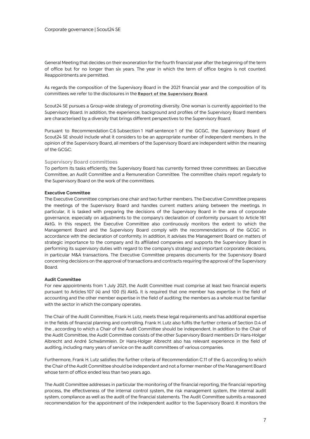General Meeting that decides on their exoneration for the fourth financial year after the beginning of the term of office but for no longer than six years. The year in which the term of office begins is not counted. Reappointments are permitted.

As regards the composition of the Supervisory Board in the 2021 financial year and the composition of its committees we refer to the disclosures in the **Report of the Supervisory Board**.

Scout24 SE pursues a Group-wide strategy of promoting diversity. One woman is currently appointed to the Supervisory Board. In addition, the experience, background and profiles of the Supervisory Board members are characterised by a diversity that brings different perspectives to the Supervisory Board.

Pursuant to Recommendation C.6 Subsection 1 Half-sentence 1 of the GCGC, the Supervisory Board of Scout24 SE should include what it considers to be an appropriate number of independent members. In the opinion of the Supervisory Board, all members of the Supervisory Board are independent within the meaning of the GCGC.

#### **Supervisory Board committees**

To perform its tasks efficiently, the Supervisory Board has currently formed three committees: an Executive Committee, an Audit Committee and a Remuneration Committee. The committee chairs report regularly to the Supervisory Board on the work of the committees.

#### **Executive Committee**

The Executive Committee comprises one chair and two further members. The Executive Committee prepares the meetings of the Supervisory Board and handles current matters arising between the meetings. In particular, it is tasked with preparing the decisions of the Supervisory Board in the area of corporate governance, especially on adjustments to the company's declaration of conformity pursuant to Article 161 AktG. In this respect, the Executive Committee also continuously monitors the extent to which the Management Board and the Supervisory Board comply with the recommendations of the GCGC in accordance with the declaration of conformity. In addition, it advises the Management Board on matters of strategic importance to the company and its affiliated companies and supports the Supervisory Board in performing its supervisory duties with regard to the company's strategy and important corporate decisions, in particular M&A transactions. The Executive Committee prepares documents for the Supervisory Board concerning decisions on the approval of transactions and contracts requiring the approval of the Supervisory Board.

## **Audit Committee**

For new appointments from 1 July 2021, the Audit Committee must comprise at least two financial experts pursuant to Articles 107 (4) and 100 (5) AktG. It is required that one member has expertise in the field of accounting and the other member expertise in the field of auditing; the members as a whole must be familiar with the sector in which the company operates.

The Chair of the Audit Committee, Frank H. Lutz, meets these legal requirements and has additional expertise in the fields of financial planning and controlling. Frank H. Lutz also fulfils the further criteria of Section D.4 of the , according to which a Chair of the Audit Committee should be independent. In addition to the Chair of the Audit Committee, the Audit Committee consists of the other Supervisory Board members Dr Hans-Holger Albrecht and André Schwämmlein. Dr Hans-Holger Albrecht also has relevant experience in the field of auditing, including many years of service on the audit committees of various companies.

Furthermore, Frank H. Lutz satisfies the further criteria of Recommendation C.11 of the G according to which the Chair of the Audit Committee should be independent and not a former member of the Management Board whose term of office ended less than two years ago.

The Audit Committee addresses in particular the monitoring of the financial reporting, the financial reporting process, the effectiveness of the internal control system, the risk management system, the internal audit system, compliance as well as the audit of the financial statements. The Audit Committee submits a reasoned recommendation for the appointment of the independent auditor to the Supervisory Board. It monitors the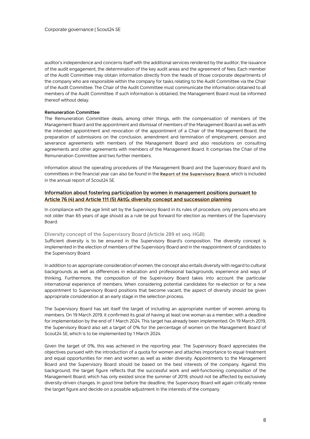auditor's independence and concerns itself with the additional services rendered by the auditor, the issuance of the audit engagement, the determination of the key audit areas and the agreement of fees. Each member of the Audit Committee may obtain information directly from the heads of those corporate departments of the company who are responsible within the company for tasks relating to the Audit Committee via the Chair of the Audit Committee. The Chair of the Audit Committee must communicate the information obtained to all members of the Audit Committee. If such information is obtained, the Management Board must be informed thereof without delay.

#### **Remuneration Committee**

The Remuneration Committee deals, among other things, with the compensation of members of the Management Board and the appointment and dismissal of members of the Management Board as well as with the intended appointment and revocation of the appointment of a Chair of the Management Board, the preparation of submissions on the conclusion, amendment and termination of employment, pension and severance agreements with members of the Management Board and also resolutions on consulting agreements and other agreements with members of the Management Board. It comprises the Chair of the Remuneration Committee and two further members.

Information about the operating procedures of the Management Board and the Supervisory Board and its committees in the financial year can also be found in the **Report of the Supervisory Board**, which is included in the annual report of Scout24 SE.

## **Information about fostering participation by women in management positions pursuant to Article 76 (4) and Article 111 (5) AktG; diversity concept and succession planning**

In compliance with the age limit set by the Supervisory Board in its rules of procedure, only persons who are not older than 65 years of age should as a rule be put forward for election as members of the Supervisory Board.

#### **Diversity concept of the Supervisory Board (Article 289 et seq. HGB)**

Sufficient diversity is to be ensured in the Supervisory Board's composition. The diversity concept is implemented in the election of members of the Supervisory Board and in the reappointment of candidates to the Supervisory Board.

In addition to an appropriate consideration of women, the concept also entails diversity with regard to cultural backgrounds as well as differences in education and professional backgrounds, experience and ways of thinking. Furthermore, the composition of the Supervisory Board takes into account the particular international experience of members. When considering potential candidates for re-election or for a new appointment to Supervisory Board positions that become vacant, the aspect of diversity should be given appropriate consideration at an early stage in the selection process.

The Supervisory Board has set itself the target of including an appropriate number of women among its members. On 19 March 2019, it confirmed its goal of having at least one woman as a member, with a deadline for implementation by the end of 1 March 2024. This target has already been implemented. On 19 March 2019, the Supervisory Board also set a target of 0% for the percentage of women on the Management Board of Scout24 SE, which is to be implemented by 1 March 2024.

Given the target of 0%, this was achieved in the reporting year. The Supervisory Board appreciates the objectives pursued with the introduction of a quota for women and attaches importance to equal treatment and equal opportunities for men and women as well as wider diversity. Appointments to the Management Board and the Supervisory Board should be based on the best interests of the company. Against this background, the target figure reflects that the successful work and well-functioning composition of the Management Board, which has only existed since the summer of 2019, should not be affected by exclusively diversity-driven changes. In good time before the deadline, the Supervisory Board will again critically review the target figure and decide on a possible adjustment in the interests of the company.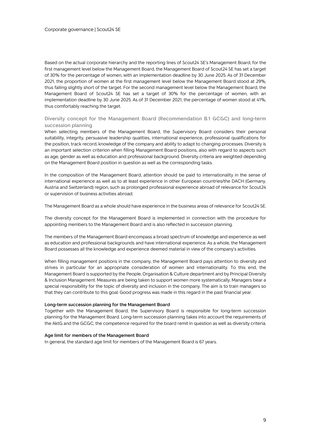Based on the actual corporate hierarchy and the reporting lines of Scout24 SE's Management Board, for the first management level below the Management Board, the Management Board of Scout24 SE has set a target of 30% for the percentage of women, with an implementation deadline by 30 June 2025. As of 31 December 2021, the proportion of women at the first management level below the Management Board stood at 29%, thus falling slightly short of the target. For the second management level below the Management Board, the Management Board of Scout24 SE has set a target of 30% for the percentage of women, with an implementation deadline by 30 June 2025. As of 31 December 2021, the percentage of women stood at 41%, thus comfortably reaching the target.

## **Diversity concept for the Management Board (Recommendation B.1 GCGC) and long-term succession planning**

When selecting members of the Management Board, the Supervisory Board considers their personal suitability, integrity, persuasive leadership qualities, international experience, professional qualifications for the position, track record, knowledge of the company and ability to adapt to changing processes. Diversity is an important selection criterion when filling Management Board positions, also with regard to aspects such as age, gender as well as education and professional background. Diversity criteria are weighted depending on the Management Board position in question as well as the corresponding tasks.

In the composition of the Management Board, attention should be paid to internationality in the sense of international experience as well as to at least experience in other European countries/the DACH (Germany, Austria and Switzerland) region, such as prolonged professional experience abroad of relevance for Scout24 or supervision of business activities abroad.

The Management Board as a whole should have experience in the business areas of relevance for Scout24 SE.

The diversity concept for the Management Board is implemented in connection with the procedure for appointing members to the Management Board and is also reflected in succession planning.

The members of the Management Board encompass a broad spectrum of knowledge and experience as well as education and professional backgrounds and have international experience. As a whole, the Management Board possesses all the knowledge and experience deemed material in view of the company's activities.

When filling management positions in the company, the Management Board pays attention to diversity and strives in particular for an appropriate consideration of women and internationality. To this end, the Management Board is supported by the People, Organisation & Culture department and by Principal Diversity & Inclusion Management. Measures are being taken to support women more systematically. Managers bear a special responsibility for the topic of diversity and inclusion in the company. The aim is to train managers so that they can contribute to this goal. Good progress was made in this regard in the past financial year.

#### **Long-term succession planning for the Management Board**

Together with the Management Board, the Supervisory Board is responsible for long-term succession planning for the Management Board. Long-term succession planning takes into account the requirements of the AktG and the GCGC, the competence required for the board remit in question as well as diversity criteria.

## **Age limit for members of the Management Board**

In general, the standard age limit for members of the Management Board is 67 years.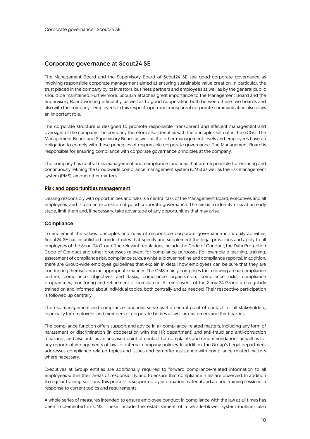## **Corporate governance at Scout24 SE**

The Management Board and the Supervisory Board of Scout24 SE see good corporate governance as involving responsible corporate management aimed at ensuring sustainable value creation. In particular, the trust placed in the company by its investors, business partners and employees as well as by the general public should be maintained. Furthermore, Scout24 attaches great importance to the Management Board and the Supervisory Board working efficiently, as well as to good cooperation both between these two boards and also with the company's employees. In this respect, open and transparent corporate communication also plays an important role.

The corporate structure is designed to promote responsible, transparent and efficient management and oversight of the company. The company therefore also identifies with the principles set out in the GCGC. The Management Board and Supervisory Board as well as the other management levels and employees have an obligation to comply with these principles of responsible corporate governance. The Management Board is responsible for ensuring compliance with corporate governance principles at the company.

The company has central risk management and compliance functions that are responsible for ensuring and continuously refining the Group-wide compliance management system (CMS) as well as the risk management system (RMS), among other matters.

## **Risk and opportunities management**

Dealing responsibly with opportunities and risks is a central task of the Management Board, executives and all employees, and is also an expression of good corporate governance. The aim is to identify risks at an early stage, limit them and, if necessary, take advantage of any opportunities that may arise.

## **Compliance**

To implement the values, principles and rules of responsible corporate governance in its daily activities, Scout24 SE has established conduct rules that specify and supplement the legal provisions and apply to all employees of the Scout24 Group. The relevant regulations include the Code of Conduct, the Data Protection Code of Conduct and other processes relevant for compliance purposes (for example e-learning, training, assessment of compliance risk, compliance talks, a whistle-blower hotline and compliance reports). In addition, there are Group-wide employee guidelines that explain in detail how employees can be sure that they are conducting themselves in an appropriate manner. The CMS mainly comprises the following areas: compliance culture, compliance objectives and tasks, compliance organisation, compliance risks, compliance programmes, monitoring and refinement of compliance. All employees of the Scout24 Group are regularly trained on and informed about individual topics, both centrally and as needed. Their respective participation is followed up centrally.

The risk management and compliance functions serve as the central point of contact for all stakeholders, especially for employees and members of corporate bodies as well as customers and third parties.

The compliance function offers support and advice in all compliance-related matters, including any form of harassment or discrimination (in cooperation with the HR department) and anti-fraud and anti-corruption measures, and also acts as an unbiased point of contact for complaints and recommendations as well as for any reports of infringements of laws or internal company policies. In addition, the Group's Legal department addresses compliance-related topics and issues and can offer assistance with compliance-related matters where necessary.

Executives at Group entities are additionally required to forward compliance-related information to all employees within their areas of responsibility and to ensure that compliance rules are observed. In addition to regular training sessions, this process is supported by information material and ad hoc training sessions in response to current topics and requirements.

A whole series of measures intended to ensure employee conduct in compliance with the law at all times has been implemented in CMS. These include the establishment of a whistle-blower system (hotline), also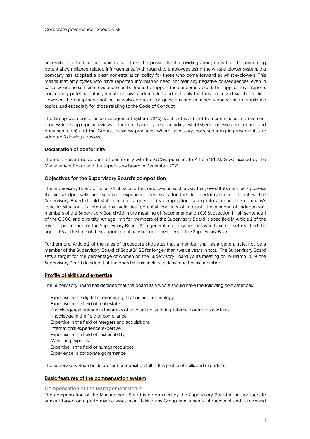accessible to third parties, which also offers the possibility of providing anonymous tip-offs concerning potential compliance-related infringements. With regard to employees using the whistle-blower system, the company has adopted a clear non-retaliation policy for those who come forward as whistle-blowers. This means that employees who have reported information need not fear any negative consequences, even in cases where no sufficient evidence can be found to support the concerns voiced. This applies to all reports concerning potential infringements of laws and/or rules, and not only for those received via the hotline. However, the compliance hotline may also be used for questions and comments concerning compliance topics, and especially for those relating to the Code of Conduct.

The Group-wide compliance management system (CMS) is subject is subject to a continuous improvement process involving regular reviews of the compliance system (including established processes, procedures and documentation) and the Group's business practices. Where necessary, corresponding improvements are adopted following a review.

## **Declaration of conformity**

The most recent declaration of conformity with the GCGC pursuant to Article 161 AktG was issued by the Management Board and the Supervisory Board in December 2021.

## **Objectives for the Supervisory Board's composition**

The Supervisory Board of Scout24 SE should be composed in such a way that, overall, its members possess the knowledge, skills and specialist experience necessary for the due performance of its duties. The Supervisory Board should state specific targets for its composition, taking into account the company's specific situation, its international activities, potential conflicts of interest, the number of independent members of the Supervisory Board within the meaning of Recommendation C.6 Subsection 1 Half-sentence 1 of the GCGC and diversity. An age limit for members of the Supervisory Board is specified in Article 2 of the rules of procedure for the Supervisory Board. As a general rule, only persons who have not yet reached the age of 65 at the time of their appointment may become members of the Supervisory Board.

Furthermore, Article 2 of the rules of procedure stipulates that a member shall, as a general rule, not be a member of the Supervisory Board of Scout24 SE for longer than twelve years in total. The Supervisory Board sets a target for the percentage of women on the Supervisory Board. At its meeting on 19 March 2019, the Supervisory Board decided that the board should include at least one female member.

## **Profile of skills and expertise**

The Supervisory Board has decided that the board as a whole should have the following competences:

Expertise in the digital economy, digitisation and technology Expertise in the field of real estate Knowledge/experience in the areas of accounting, auditing, internal control procedures Knowledge in the field of compliance Expertise in the field of mergers and acquisitions International experience/expertise Expertise in the field of sustainability Marketing expertise Expertise in the field of human resources Experience in corporate governance

The Supervisory Board in its present composition fulfils this profile of skills and expertise.

## **Basic features of the compensation system**

**Compensation of the Management Board**

The compensation of the Management Board is determined by the Supervisory Board at an appropriate amount based on a performance assessment taking any Group emoluments into account and is reviewed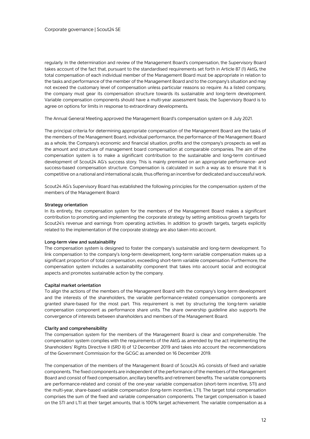regularly. In the determination and review of the Management Board's compensation, the Supervisory Board takes account of the fact that, pursuant to the standardised requirements set forth in Article 87 (1) AktG, the total compensation of each individual member of the Management Board must be appropriate in relation to the tasks and performance of the member of the Management Board and to the company's situation and may not exceed the customary level of compensation unless particular reasons so require. As a listed company, the company must gear its compensation structure towards its sustainable and long-term development. Variable compensation components should have a multi-year assessment basis; the Supervisory Board is to agree on options for limits in response to extraordinary developments.

The Annual General Meeting approved the Management Board's compensation system on 8 July 2021.

The principal criteria for determining appropriate compensation of the Management Board are the tasks of the members of the Management Board, individual performance, the performance of the Management Board as a whole, the Company's economic and financial situation, profits and the company's prospects as well as the amount and structure of management board compensation at comparable companies. The aim of the compensation system is to make a significant contribution to the sustainable and long-term continued development of Scout24 AG's success story. This is mainly premised on an appropriate performance- and success-based compensation structure. Compensation is calculated in such a way as to ensure that it is competitive on a national and international scale, thus offering an incentive for dedicated and successful work.

Scout24 AG's Supervisory Board has established the following principles for the compensation system of the members of the Management Board:

#### **Strategy orientation**

In its entirety, the compensation system for the members of the Management Board makes a significant contribution to promoting and implementing the corporate strategy by setting ambitious growth targets for Scout24's revenue and earnings from operating activities. In addition to growth targets, targets explicitly related to the implementation of the corporate strategy are also taken into account.

#### **Long-term view and sustainability**

The compensation system is designed to foster the company's sustainable and long-term development. To link compensation to the company's long-term development, long-term variable compensation makes up a significant proportion of total compensation, exceeding short-term variable compensation. Furthermore, the compensation system includes a sustainability component that takes into account social and ecological aspects and promotes sustainable action by the company.

#### **Capital market orientation**

To align the actions of the members of the Management Board with the company's long-term development and the interests of the shareholders, the variable performance-related compensation components are granted share-based for the most part. This requirement is met by structuring the long-term variable compensation component as performance share units. The share ownership guideline also supports the convergence of interests between shareholders and members of the Management Board.

#### **Clarity and comprehensibility**

The compensation system for the members of the Management Board is clear and comprehensible. The compensation system complies with the requirements of the AktG as amended by the act implementing the Shareholders' Rights Directive II (SRD II) of 12 December 2019 and takes into account the recommendations of the Government Commission for the GCGC as amended on 16 December 2019.

The compensation of the members of the Management Board of Scout24 AG consists of fixed and variable components. The fixed components are independent of the performance of the members of the Management Board and consist of fixed compensation, ancillary benefits and retirement benefits. The variable components are performance-related and consist of the one-year variable compensation (short-term incentive, STI) and the multi-year, share-based variable compensation (long-term incentive, LTI). The target total compensation comprises the sum of the fixed and variable compensation components. The target compensation is based on the STI and LTI at their target amounts, that is 100% target achievement. The variable compensation as a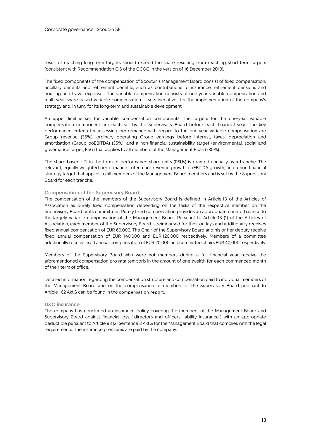result of reaching long-term targets should exceed the share resulting from reaching short-term targets (consistent with Recommendation G.6 of the GCGC in the version of 16 December 2019).

The fixed components of the compensation of Scout24's Management Board consist of fixed compensation, ancillary benefits and retirement benefits, such as contributions to insurance, retirement pensions and housing and travel expenses. The variable compensation consists of one-year variable compensation and multi-year share-based variable compensation. It sets incentives for the implementation of the company's strategy and, in turn, for its long-term and sustainable development.

An upper limit is set for variable compensation components. The targets for the one-year variable compensation component are each set by the Supervisory Board before each financial year. The key performance criteria for assessing performance with regard to the one-year variable compensation are Group revenue (35%), ordinary operating Group earnings before interest, taxes, depreciation and amortisation (Group ooEBITDA) (35%), and a non-financial sustainability target (environmental, social and governance target, ESG) that applies to all members of the Management Board (30%).

The share-based LTI in the form of performance share units (PSUs) is granted annually as a tranche. The relevant, equally weighted performance criteria are revenue growth, ooEBITDA growth, and a non-financial strategy target that applies to all members of the Management Board members and is set by the Supervisory Board for each tranche.

## **Compensation of the Supervisory Board**

The compensation of the members of the Supervisory Board is defined in Article 13 of the Articles of Association as purely fixed compensation depending on the tasks of the respective member on the Supervisory Board or its committees. Purely fixed compensation provides an appropriate counterbalance to the largely variable compensation of the Management Board. Pursuant to Article 13 (1) of the Articles of Association, each member of the Supervisory Board is reimbursed for their outlays and additionally receives fixed annual compensation of EUR 60,000. The Chair of the Supervisory Board and his or her deputy receive fixed annual compensation of EUR 140,000 and EUR 120,000 respectively. Members of a committee additionally receive fixed annual compensation of EUR 20,000 and committee chairs EUR 40,000 respectively.

Members of the Supervisory Board who were not members during a full financial year receive the aforementioned compensation pro rata temporis in the amount of one twelfth for each commenced month of their term of office.

Detailed information regarding the compensation structure and compensation paid to individual members of the Management Board and on the compensation of members of the Supervisory Board pursuant to Article 162 AktG can be found in the **compensation report**.

## **D&O insurance**

The company has concluded an insurance policy covering the members of the Management Board and Supervisory Board against financial loss ("directors and officers liability insurance") with an appropriate deductible pursuant to Article 93 (2) Sentence 3 AktG for the Management Board that complies with the legal requirements. The insurance premiums are paid by the company.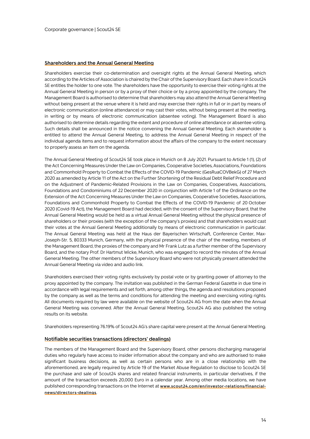## **Shareholders and the Annual General Meeting**

Shareholders exercise their co-determination and oversight rights at the Annual General Meeting, which according to the Articles of Association is chaired by the Chair of the Supervisory Board. Each share in Scout24 SE entitles the holder to one vote. The shareholders have the opportunity to exercise their voting rights at the Annual General Meeting in person or by a proxy of their choice or by a proxy appointed by the company. The Management Board is authorised to determine that shareholders may also attend the Annual General Meeting without being present at the venue where it is held and may exercise their rights in full or in part by means of electronic communication (online attendance) or may cast their votes, without being present at the meeting, in writing or by means of electronic communication (absentee voting). The Management Board is also authorised to determine details regarding the extent and procedure of online attendance or absentee voting. Such details shall be announced in the notice convening the Annual General Meeting. Each shareholder is entitled to attend the Annual General Meeting, to address the Annual General Meeting in respect of the individual agenda items and to request information about the affairs of the company to the extent necessary to properly assess an item on the agenda.

The Annual General Meeting of Scout24 SE took place in Munich on 8 July 2021. Pursuant to Article 1 (1), (2) of the Act Concerning Measures Underthe Law on Companies, Cooperative Societies, Associations, Foundations and Commonhold Property to Combat the Effects of the COVID-19 Pandemic (GesRuaCOVBekG) of 27 March 2020 as amended by Article 11 of the Act on the Further Shortening of the Residual Debt Relief Procedure and on the Adjustment of Pandemic-Related Provisions in the Law on Companies, Cooperatives, Associations, Foundations and Condominiums of 22 December 2020 in conjunction with Article 1 of the Ordinance on the Extension of the Act Concerning Measures Under the Law on Companies, Cooperative Societies, Associations, Foundations and Commonhold Property to Combat the Effects of the COVID-19 Pandemic of 20 October 2020 (Covid-19 Act), the Management Board had decided, with the consent of the Supervisory Board, that the Annual General Meeting would be held as a virtual Annual General Meeting without the physical presence of shareholders or their proxies (with the exception of the company's proxies) and that shareholders would cast their votes at the Annual General Meeting additionally by means of electronic communication in particular. The Annual General Meeting was held at the Haus der Bayerischen Wirtschaft, Conference Center, Max-Joseph-Str. 5, 80333 Munich, Germany, with the physical presence of the chair of the meeting, members of the Management Board, the proxies of the company and Mr Frank Lutz as a further member of the Supervisory Board, and the notary Prof. Dr Hartmut Wicke, Munich, who was engaged to record the minutes of the Annual General Meeting. The other members of the Supervisory Board who were not physically present attended the Annual General Meeting via video and audio link.

Shareholders exercised their voting rights exclusively by postal vote or by granting power of attorney to the proxy appointed by the company. The invitation was published in the German Federal Gazette in due time in accordance with legal requirements and set forth, among other things, the agenda and resolutions proposed by the company as well as the terms and conditions for attending the meeting and exercising voting rights. All documents required by law were available on the website of Scout24 AG from the date when the Annual General Meeting was convened. After the Annual General Meeting, Scout24 AG also published the voting results on its website.

Shareholders representing 76.19% of Scout24 AG's share capital were present at the Annual General Meeting.

## **Notifiable securities transactions (directors' dealings)**

The members of the Management Board and the Supervisory Board, other persons discharging managerial duties who regularly have access to insider information about the company and who are authorised to make significant business decisions, as well as certain persons who are in a close relationship with the aforementioned, are legally required by Article 19 of the Market Abuse Regulation to disclose to Scout24 SE the purchase and sale of Scout24 shares and related financial instruments, in particular derivatives, if the amount of the transaction exceeds 20,000 Euro in a calendar year. Among other media locations, we have published corresponding transactions on the Internet at **www.scout24.com/en/investor-relations/financialnews/directors-dealings**.